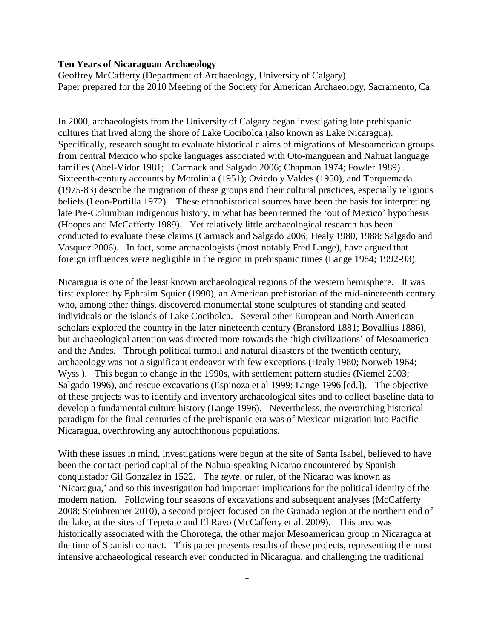# **Ten Years of Nicaraguan Archaeology**

Geoffrey McCafferty (Department of Archaeology, University of Calgary) Paper prepared for the 2010 Meeting of the Society for American Archaeology, Sacramento, Ca

In 2000, archaeologists from the University of Calgary began investigating late prehispanic cultures that lived along the shore of Lake Cocibolca (also known as Lake Nicaragua). Specifically, research sought to evaluate historical claims of migrations of Mesoamerican groups from central Mexico who spoke languages associated with Oto-manguean and Nahuat language families (Abel-Vidor 1981; Carmack and Salgado 2006; Chapman 1974; Fowler 1989). Sixteenth-century accounts by Motolinia (1951); Oviedo y Valdes (1950), and Torquemada (1975-83) describe the migration of these groups and their cultural practices, especially religious beliefs (Leon-Portilla 1972). These ethnohistorical sources have been the basis for interpreting late Pre-Columbian indigenous history, in what has been termed the 'out of Mexico' hypothesis (Hoopes and McCafferty 1989). Yet relatively little archaeological research has been conducted to evaluate these claims (Carmack and Salgado 2006; Healy 1980, 1988; Salgado and Vasquez 2006). In fact, some archaeologists (most notably Fred Lange), have argued that foreign influences were negligible in the region in prehispanic times (Lange 1984; 1992-93).

Nicaragua is one of the least known archaeological regions of the western hemisphere. It was first explored by Ephraim Squier (1990), an American prehistorian of the mid-nineteenth century who, among other things, discovered monumental stone sculptures of standing and seated individuals on the islands of Lake Cocibolca. Several other European and North American scholars explored the country in the later nineteenth century (Bransford 1881; Bovallius 1886), but archaeological attention was directed more towards the 'high civilizations' of Mesoamerica and the Andes. Through political turmoil and natural disasters of the twentieth century, archaeology was not a significant endeavor with few exceptions (Healy 1980; Norweb 1964; Wyss ). This began to change in the 1990s, with settlement pattern studies (Niemel 2003; Salgado 1996), and rescue excavations (Espinoza et al 1999; Lange 1996 [ed.]). The objective of these projects was to identify and inventory archaeological sites and to collect baseline data to develop a fundamental culture history (Lange 1996). Nevertheless, the overarching historical paradigm for the final centuries of the prehispanic era was of Mexican migration into Pacific Nicaragua, overthrowing any autochthonous populations.

With these issues in mind, investigations were begun at the site of Santa Isabel, believed to have been the contact-period capital of the Nahua-speaking Nicarao encountered by Spanish conquistador Gil Gonzalez in 1522. The *teyte*, or ruler, of the Nicarao was known as ‗Nicaragua,' and so this investigation had important implications for the political identity of the modern nation. Following four seasons of excavations and subsequent analyses (McCafferty 2008; Steinbrenner 2010), a second project focused on the Granada region at the northern end of the lake, at the sites of Tepetate and El Rayo (McCafferty et al. 2009). This area was historically associated with the Chorotega, the other major Mesoamerican group in Nicaragua at the time of Spanish contact. This paper presents results of these projects, representing the most intensive archaeological research ever conducted in Nicaragua, and challenging the traditional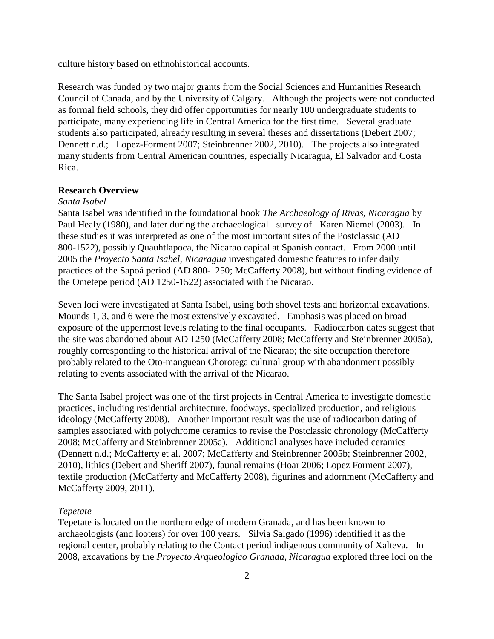culture history based on ethnohistorical accounts.

Research was funded by two major grants from the Social Sciences and Humanities Research Council of Canada, and by the University of Calgary. Although the projects were not conducted as formal field schools, they did offer opportunities for nearly 100 undergraduate students to participate, many experiencing life in Central America for the first time. Several graduate students also participated, already resulting in several theses and dissertations (Debert 2007; Dennett n.d.; Lopez-Forment 2007; Steinbrenner 2002, 2010). The projects also integrated many students from Central American countries, especially Nicaragua, El Salvador and Costa Rica.

## **Research Overview**

### *Santa Isabel*

Santa Isabel was identified in the foundational book *The Archaeology of Rivas, Nicaragua* by Paul Healy (1980), and later during the archaeological survey of Karen Niemel (2003). In these studies it was interpreted as one of the most important sites of the Postclassic (AD 800-1522), possibly Quauhtlapoca, the Nicarao capital at Spanish contact. From 2000 until 2005 the *Proyecto Santa Isabel, Nicaragua* investigated domestic features to infer daily practices of the Sapoá period (AD 800-1250; McCafferty 2008), but without finding evidence of the Ometepe period (AD 1250-1522) associated with the Nicarao.

Seven loci were investigated at Santa Isabel, using both shovel tests and horizontal excavations. Mounds 1, 3, and 6 were the most extensively excavated. Emphasis was placed on broad exposure of the uppermost levels relating to the final occupants. Radiocarbon dates suggest that the site was abandoned about AD 1250 (McCafferty 2008; McCafferty and Steinbrenner 2005a), roughly corresponding to the historical arrival of the Nicarao; the site occupation therefore probably related to the Oto-manguean Chorotega cultural group with abandonment possibly relating to events associated with the arrival of the Nicarao.

The Santa Isabel project was one of the first projects in Central America to investigate domestic practices, including residential architecture, foodways, specialized production, and religious ideology (McCafferty 2008). Another important result was the use of radiocarbon dating of samples associated with polychrome ceramics to revise the Postclassic chronology (McCafferty 2008; McCafferty and Steinbrenner 2005a). Additional analyses have included ceramics (Dennett n.d.; McCafferty et al. 2007; McCafferty and Steinbrenner 2005b; Steinbrenner 2002, 2010), lithics (Debert and Sheriff 2007), faunal remains (Hoar 2006; Lopez Forment 2007), textile production (McCafferty and McCafferty 2008), figurines and adornment (McCafferty and McCafferty 2009, 2011).

### *Tepetate*

Tepetate is located on the northern edge of modern Granada, and has been known to archaeologists (and looters) for over 100 years. Silvia Salgado (1996) identified it as the regional center, probably relating to the Contact period indigenous community of Xalteva. In 2008, excavations by the *Proyecto Arqueologico Granada, Nicaragua* explored three loci on the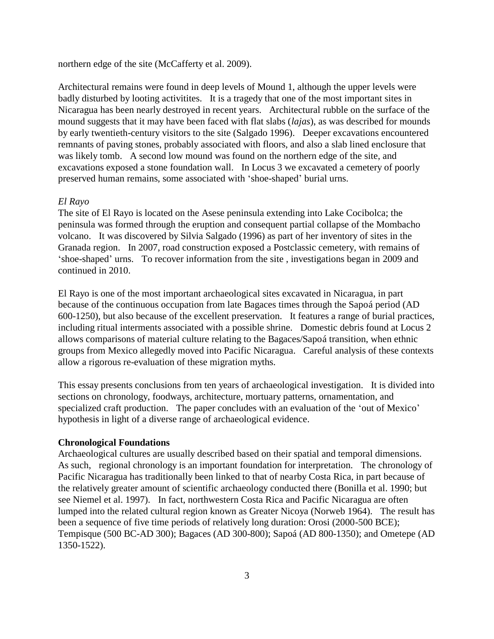northern edge of the site (McCafferty et al. 2009).

Architectural remains were found in deep levels of Mound 1, although the upper levels were badly disturbed by looting activitities. It is a tragedy that one of the most important sites in Nicaragua has been nearly destroyed in recent years. Architectural rubble on the surface of the mound suggests that it may have been faced with flat slabs (*lajas*), as was described for mounds by early twentieth-century visitors to the site (Salgado 1996). Deeper excavations encountered remnants of paving stones, probably associated with floors, and also a slab lined enclosure that was likely tomb. A second low mound was found on the northern edge of the site, and excavations exposed a stone foundation wall. In Locus 3 we excavated a cemetery of poorly preserved human remains, some associated with 'shoe-shaped' burial urns.

# *El Rayo*

The site of El Rayo is located on the Asese peninsula extending into Lake Cocibolca; the peninsula was formed through the eruption and consequent partial collapse of the Mombacho volcano. It was discovered by Silvia Salgado (1996) as part of her inventory of sites in the Granada region. In 2007, road construction exposed a Postclassic cemetery, with remains of ‗shoe-shaped' urns. To recover information from the site , investigations began in 2009 and continued in 2010.

El Rayo is one of the most important archaeological sites excavated in Nicaragua, in part because of the continuous occupation from late Bagaces times through the Sapoá period (AD 600-1250), but also because of the excellent preservation. It features a range of burial practices, including ritual interments associated with a possible shrine. Domestic debris found at Locus 2 allows comparisons of material culture relating to the Bagaces/Sapoá transition, when ethnic groups from Mexico allegedly moved into Pacific Nicaragua. Careful analysis of these contexts allow a rigorous re-evaluation of these migration myths.

This essay presents conclusions from ten years of archaeological investigation. It is divided into sections on chronology, foodways, architecture, mortuary patterns, ornamentation, and specialized craft production. The paper concludes with an evaluation of the 'out of Mexico' hypothesis in light of a diverse range of archaeological evidence.

### **Chronological Foundations**

Archaeological cultures are usually described based on their spatial and temporal dimensions. As such, regional chronology is an important foundation for interpretation. The chronology of Pacific Nicaragua has traditionally been linked to that of nearby Costa Rica, in part because of the relatively greater amount of scientific archaeology conducted there (Bonilla et al. 1990; but see Niemel et al. 1997). In fact, northwestern Costa Rica and Pacific Nicaragua are often lumped into the related cultural region known as Greater Nicoya (Norweb 1964). The result has been a sequence of five time periods of relatively long duration: Orosi (2000-500 BCE); Tempisque (500 BC-AD 300); Bagaces (AD 300-800); Sapoá (AD 800-1350); and Ometepe (AD 1350-1522).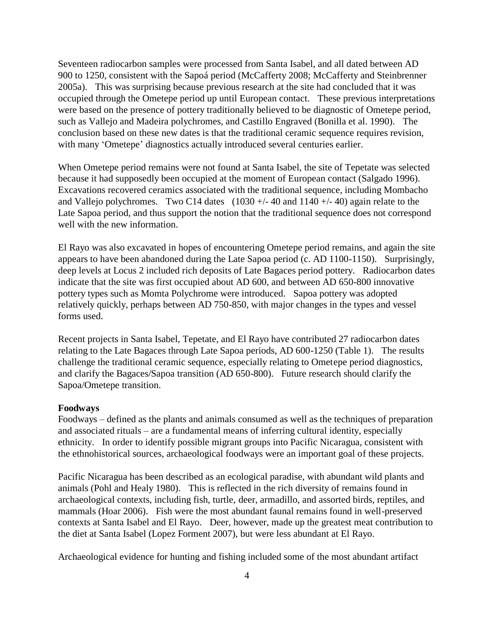Seventeen radiocarbon samples were processed from Santa Isabel, and all dated between AD 900 to 1250, consistent with the Sapoá period (McCafferty 2008; McCafferty and Steinbrenner 2005a). This was surprising because previous research at the site had concluded that it was occupied through the Ometepe period up until European contact. These previous interpretations were based on the presence of pottery traditionally believed to be diagnostic of Ometepe period, such as Vallejo and Madeira polychromes, and Castillo Engraved (Bonilla et al. 1990). The conclusion based on these new dates is that the traditional ceramic sequence requires revision, with many 'Ometepe' diagnostics actually introduced several centuries earlier.

When Ometepe period remains were not found at Santa Isabel, the site of Tepetate was selected because it had supposedly been occupied at the moment of European contact (Salgado 1996). Excavations recovered ceramics associated with the traditional sequence, including Mombacho and Vallejo polychromes. Two C14 dates  $(1030 + - 40)$  and  $1140 + - 40$  again relate to the Late Sapoa period, and thus support the notion that the traditional sequence does not correspond well with the new information.

El Rayo was also excavated in hopes of encountering Ometepe period remains, and again the site appears to have been abandoned during the Late Sapoa period (c. AD 1100-1150). Surprisingly, deep levels at Locus 2 included rich deposits of Late Bagaces period pottery. Radiocarbon dates indicate that the site was first occupied about AD 600, and between AD 650-800 innovative pottery types such as Momta Polychrome were introduced. Sapoa pottery was adopted relatively quickly, perhaps between AD 750-850, with major changes in the types and vessel forms used.

Recent projects in Santa Isabel, Tepetate, and El Rayo have contributed 27 radiocarbon dates relating to the Late Bagaces through Late Sapoa periods, AD 600-1250 (Table 1). The results challenge the traditional ceramic sequence, especially relating to Ometepe period diagnostics, and clarify the Bagaces/Sapoa transition (AD 650-800). Future research should clarify the Sapoa/Ometepe transition.

### **Foodways**

Foodways – defined as the plants and animals consumed as well as the techniques of preparation and associated rituals – are a fundamental means of inferring cultural identity, especially ethnicity. In order to identify possible migrant groups into Pacific Nicaragua, consistent with the ethnohistorical sources, archaeological foodways were an important goal of these projects.

Pacific Nicaragua has been described as an ecological paradise, with abundant wild plants and animals (Pohl and Healy 1980). This is reflected in the rich diversity of remains found in archaeological contexts, including fish, turtle, deer, armadillo, and assorted birds, reptiles, and mammals (Hoar 2006). Fish were the most abundant faunal remains found in well-preserved contexts at Santa Isabel and El Rayo. Deer, however, made up the greatest meat contribution to the diet at Santa Isabel (Lopez Forment 2007), but were less abundant at El Rayo.

Archaeological evidence for hunting and fishing included some of the most abundant artifact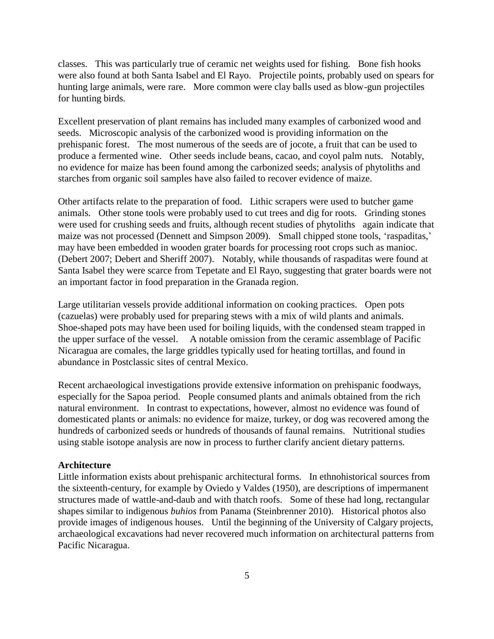classes. This was particularly true of ceramic net weights used for fishing. Bone fish hooks were also found at both Santa Isabel and El Rayo. Projectile points, probably used on spears for hunting large animals, were rare. More common were clay balls used as blow-gun projectiles for hunting birds.

Excellent preservation of plant remains has included many examples of carbonized wood and seeds. Microscopic analysis of the carbonized wood is providing information on the prehispanic forest. The most numerous of the seeds are of jocote, a fruit that can be used to produce a fermented wine. Other seeds include beans, cacao, and coyol palm nuts. Notably, no evidence for maize has been found among the carbonized seeds; analysis of phytoliths and starches from organic soil samples have also failed to recover evidence of maize.

Other artifacts relate to the preparation of food. Lithic scrapers were used to butcher game animals. Other stone tools were probably used to cut trees and dig for roots. Grinding stones were used for crushing seeds and fruits, although recent studies of phytoliths again indicate that maize was not processed (Dennett and Simpson 2009). Small chipped stone tools, 'raspaditas,' may have been embedded in wooden grater boards for processing root crops such as manioc. (Debert 2007; Debert and Sheriff 2007). Notably, while thousands of raspaditas were found at Santa Isabel they were scarce from Tepetate and El Rayo, suggesting that grater boards were not an important factor in food preparation in the Granada region.

Large utilitarian vessels provide additional information on cooking practices. Open pots (cazuelas) were probably used for preparing stews with a mix of wild plants and animals. Shoe-shaped pots may have been used for boiling liquids, with the condensed steam trapped in the upper surface of the vessel. A notable omission from the ceramic assemblage of Pacific Nicaragua are comales, the large griddles typically used for heating tortillas, and found in abundance in Postclassic sites of central Mexico.

Recent archaeological investigations provide extensive information on prehispanic foodways, especially for the Sapoa period. People consumed plants and animals obtained from the rich natural environment. In contrast to expectations, however, almost no evidence was found of domesticated plants or animals: no evidence for maize, turkey, or dog was recovered among the hundreds of carbonized seeds or hundreds of thousands of faunal remains. Nutritional studies using stable isotope analysis are now in process to further clarify ancient dietary patterns.

# **Architecture**

Little information exists about prehispanic architectural forms. In ethnohistorical sources from the sixteenth-century, for example by Oviedo y Valdes (1950), are descriptions of impermanent structures made of wattle-and-daub and with thatch roofs. Some of these had long, rectangular shapes similar to indigenous *buhios* from Panama (Steinbrenner 2010). Historical photos also provide images of indigenous houses. Until the beginning of the University of Calgary projects, archaeological excavations had never recovered much information on architectural patterns from Pacific Nicaragua.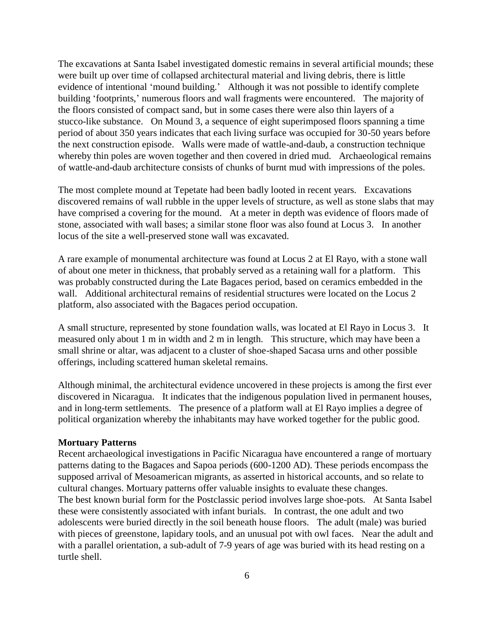The excavations at Santa Isabel investigated domestic remains in several artificial mounds; these were built up over time of collapsed architectural material and living debris, there is little evidence of intentional 'mound building.' Although it was not possible to identify complete building 'footprints,' numerous floors and wall fragments were encountered. The majority of the floors consisted of compact sand, but in some cases there were also thin layers of a stucco-like substance. On Mound 3, a sequence of eight superimposed floors spanning a time period of about 350 years indicates that each living surface was occupied for 30-50 years before the next construction episode. Walls were made of wattle-and-daub, a construction technique whereby thin poles are woven together and then covered in dried mud. Archaeological remains of wattle-and-daub architecture consists of chunks of burnt mud with impressions of the poles.

The most complete mound at Tepetate had been badly looted in recent years. Excavations discovered remains of wall rubble in the upper levels of structure, as well as stone slabs that may have comprised a covering for the mound. At a meter in depth was evidence of floors made of stone, associated with wall bases; a similar stone floor was also found at Locus 3. In another locus of the site a well-preserved stone wall was excavated.

A rare example of monumental architecture was found at Locus 2 at El Rayo, with a stone wall of about one meter in thickness, that probably served as a retaining wall for a platform. This was probably constructed during the Late Bagaces period, based on ceramics embedded in the wall. Additional architectural remains of residential structures were located on the Locus 2 platform, also associated with the Bagaces period occupation.

A small structure, represented by stone foundation walls, was located at El Rayo in Locus 3. It measured only about 1 m in width and 2 m in length. This structure, which may have been a small shrine or altar, was adjacent to a cluster of shoe-shaped Sacasa urns and other possible offerings, including scattered human skeletal remains.

Although minimal, the architectural evidence uncovered in these projects is among the first ever discovered in Nicaragua. It indicates that the indigenous population lived in permanent houses, and in long-term settlements. The presence of a platform wall at El Rayo implies a degree of political organization whereby the inhabitants may have worked together for the public good.

### **Mortuary Patterns**

Recent archaeological investigations in Pacific Nicaragua have encountered a range of mortuary patterns dating to the Bagaces and Sapoa periods (600-1200 AD). These periods encompass the supposed arrival of Mesoamerican migrants, as asserted in historical accounts, and so relate to cultural changes. Mortuary patterns offer valuable insights to evaluate these changes. The best known burial form for the Postclassic period involves large shoe-pots. At Santa Isabel these were consistently associated with infant burials. In contrast, the one adult and two adolescents were buried directly in the soil beneath house floors. The adult (male) was buried with pieces of greenstone, lapidary tools, and an unusual pot with owl faces. Near the adult and with a parallel orientation, a sub-adult of 7-9 years of age was buried with its head resting on a turtle shell.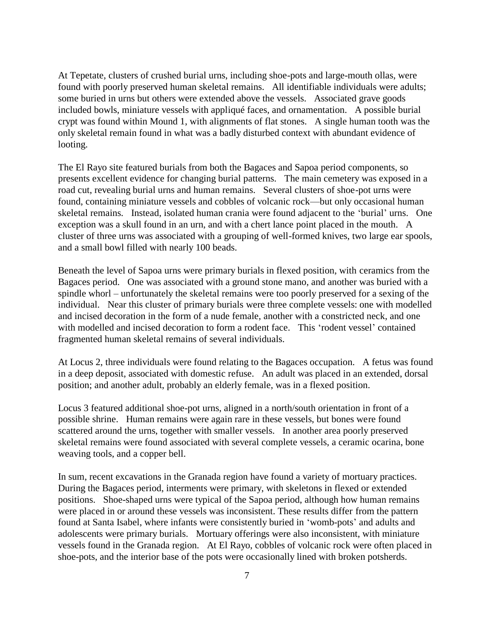At Tepetate, clusters of crushed burial urns, including shoe-pots and large-mouth ollas, were found with poorly preserved human skeletal remains. All identifiable individuals were adults; some buried in urns but others were extended above the vessels. Associated grave goods included bowls, miniature vessels with appliqué faces, and ornamentation. A possible burial crypt was found within Mound 1, with alignments of flat stones. A single human tooth was the only skeletal remain found in what was a badly disturbed context with abundant evidence of looting.

The El Rayo site featured burials from both the Bagaces and Sapoa period components, so presents excellent evidence for changing burial patterns. The main cemetery was exposed in a road cut, revealing burial urns and human remains. Several clusters of shoe-pot urns were found, containing miniature vessels and cobbles of volcanic rock—but only occasional human skeletal remains. Instead, isolated human crania were found adjacent to the 'burial' urns. One exception was a skull found in an urn, and with a chert lance point placed in the mouth. A cluster of three urns was associated with a grouping of well-formed knives, two large ear spools, and a small bowl filled with nearly 100 beads.

Beneath the level of Sapoa urns were primary burials in flexed position, with ceramics from the Bagaces period. One was associated with a ground stone mano, and another was buried with a spindle whorl – unfortunately the skeletal remains were too poorly preserved for a sexing of the individual. Near this cluster of primary burials were three complete vessels: one with modelled and incised decoration in the form of a nude female, another with a constricted neck, and one with modelled and incised decoration to form a rodent face. This 'rodent vessel' contained fragmented human skeletal remains of several individuals.

At Locus 2, three individuals were found relating to the Bagaces occupation. A fetus was found in a deep deposit, associated with domestic refuse. An adult was placed in an extended, dorsal position; and another adult, probably an elderly female, was in a flexed position.

Locus 3 featured additional shoe-pot urns, aligned in a north/south orientation in front of a possible shrine. Human remains were again rare in these vessels, but bones were found scattered around the urns, together with smaller vessels. In another area poorly preserved skeletal remains were found associated with several complete vessels, a ceramic ocarina, bone weaving tools, and a copper bell.

In sum, recent excavations in the Granada region have found a variety of mortuary practices. During the Bagaces period, interments were primary, with skeletons in flexed or extended positions. Shoe-shaped urns were typical of the Sapoa period, although how human remains were placed in or around these vessels was inconsistent. These results differ from the pattern found at Santa Isabel, where infants were consistently buried in 'womb-pots' and adults and adolescents were primary burials. Mortuary offerings were also inconsistent, with miniature vessels found in the Granada region. At El Rayo, cobbles of volcanic rock were often placed in shoe-pots, and the interior base of the pots were occasionally lined with broken potsherds.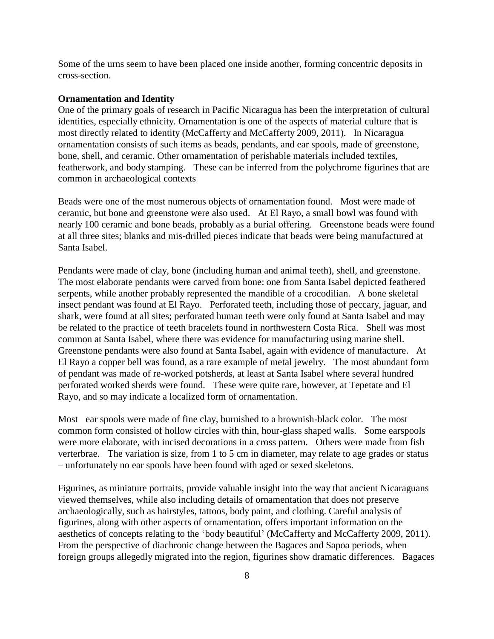Some of the urns seem to have been placed one inside another, forming concentric deposits in cross-section.

## **Ornamentation and Identity**

One of the primary goals of research in Pacific Nicaragua has been the interpretation of cultural identities, especially ethnicity. Ornamentation is one of the aspects of material culture that is most directly related to identity (McCafferty and McCafferty 2009, 2011). In Nicaragua ornamentation consists of such items as beads, pendants, and ear spools, made of greenstone, bone, shell, and ceramic. Other ornamentation of perishable materials included textiles, featherwork, and body stamping. These can be inferred from the polychrome figurines that are common in archaeological contexts

Beads were one of the most numerous objects of ornamentation found. Most were made of ceramic, but bone and greenstone were also used. At El Rayo, a small bowl was found with nearly 100 ceramic and bone beads, probably as a burial offering. Greenstone beads were found at all three sites; blanks and mis-drilled pieces indicate that beads were being manufactured at Santa Isabel.

Pendants were made of clay, bone (including human and animal teeth), shell, and greenstone. The most elaborate pendants were carved from bone: one from Santa Isabel depicted feathered serpents, while another probably represented the mandible of a crocodilian. A bone skeletal insect pendant was found at El Rayo. Perforated teeth, including those of peccary, jaguar, and shark, were found at all sites; perforated human teeth were only found at Santa Isabel and may be related to the practice of teeth bracelets found in northwestern Costa Rica. Shell was most common at Santa Isabel, where there was evidence for manufacturing using marine shell. Greenstone pendants were also found at Santa Isabel, again with evidence of manufacture. At El Rayo a copper bell was found, as a rare example of metal jewelry. The most abundant form of pendant was made of re-worked potsherds, at least at Santa Isabel where several hundred perforated worked sherds were found. These were quite rare, however, at Tepetate and El Rayo, and so may indicate a localized form of ornamentation.

Most ear spools were made of fine clay, burnished to a brownish-black color. The most common form consisted of hollow circles with thin, hour-glass shaped walls. Some earspools were more elaborate, with incised decorations in a cross pattern. Others were made from fish verterbrae. The variation is size, from 1 to 5 cm in diameter, may relate to age grades or status – unfortunately no ear spools have been found with aged or sexed skeletons.

Figurines, as miniature portraits, provide valuable insight into the way that ancient Nicaraguans viewed themselves, while also including details of ornamentation that does not preserve archaeologically, such as hairstyles, tattoos, body paint, and clothing. Careful analysis of figurines, along with other aspects of ornamentation, offers important information on the aesthetics of concepts relating to the 'body beautiful' (McCafferty and McCafferty 2009, 2011). From the perspective of diachronic change between the Bagaces and Sapoa periods, when foreign groups allegedly migrated into the region, figurines show dramatic differences. Bagaces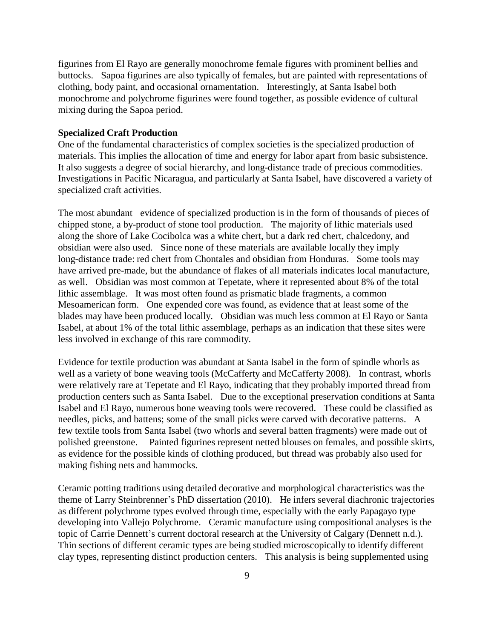figurines from El Rayo are generally monochrome female figures with prominent bellies and buttocks. Sapoa figurines are also typically of females, but are painted with representations of clothing, body paint, and occasional ornamentation. Interestingly, at Santa Isabel both monochrome and polychrome figurines were found together, as possible evidence of cultural mixing during the Sapoa period.

## **Specialized Craft Production**

One of the fundamental characteristics of complex societies is the specialized production of materials. This implies the allocation of time and energy for labor apart from basic subsistence. It also suggests a degree of social hierarchy, and long-distance trade of precious commodities. Investigations in Pacific Nicaragua, and particularly at Santa Isabel, have discovered a variety of specialized craft activities.

The most abundant evidence of specialized production is in the form of thousands of pieces of chipped stone, a by-product of stone tool production. The majority of lithic materials used along the shore of Lake Cocibolca was a white chert, but a dark red chert, chalcedony, and obsidian were also used. Since none of these materials are available locally they imply long-distance trade: red chert from Chontales and obsidian from Honduras. Some tools may have arrived pre-made, but the abundance of flakes of all materials indicates local manufacture, as well. Obsidian was most common at Tepetate, where it represented about 8% of the total lithic assemblage. It was most often found as prismatic blade fragments, a common Mesoamerican form. One expended core was found, as evidence that at least some of the blades may have been produced locally. Obsidian was much less common at El Rayo or Santa Isabel, at about 1% of the total lithic assemblage, perhaps as an indication that these sites were less involved in exchange of this rare commodity.

Evidence for textile production was abundant at Santa Isabel in the form of spindle whorls as well as a variety of bone weaving tools (McCafferty and McCafferty 2008). In contrast, whorls were relatively rare at Tepetate and El Rayo, indicating that they probably imported thread from production centers such as Santa Isabel. Due to the exceptional preservation conditions at Santa Isabel and El Rayo, numerous bone weaving tools were recovered. These could be classified as needles, picks, and battens; some of the small picks were carved with decorative patterns. A few textile tools from Santa Isabel (two whorls and several batten fragments) were made out of polished greenstone. Painted figurines represent netted blouses on females, and possible skirts, as evidence for the possible kinds of clothing produced, but thread was probably also used for making fishing nets and hammocks.

Ceramic potting traditions using detailed decorative and morphological characteristics was the theme of Larry Steinbrenner's PhD dissertation (2010). He infers several diachronic trajectories as different polychrome types evolved through time, especially with the early Papagayo type developing into Vallejo Polychrome. Ceramic manufacture using compositional analyses is the topic of Carrie Dennett's current doctoral research at the University of Calgary (Dennett n.d.). Thin sections of different ceramic types are being studied microscopically to identify different clay types, representing distinct production centers. This analysis is being supplemented using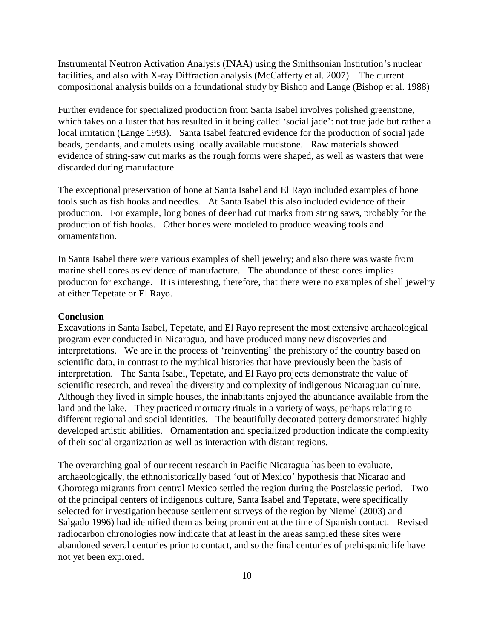Instrumental Neutron Activation Analysis (INAA) using the Smithsonian Institution's nuclear facilities, and also with X-ray Diffraction analysis (McCafferty et al. 2007). The current compositional analysis builds on a foundational study by Bishop and Lange (Bishop et al. 1988)

Further evidence for specialized production from Santa Isabel involves polished greenstone, which takes on a luster that has resulted in it being called 'social jade': not true jade but rather a local imitation (Lange 1993). Santa Isabel featured evidence for the production of social jade beads, pendants, and amulets using locally available mudstone. Raw materials showed evidence of string-saw cut marks as the rough forms were shaped, as well as wasters that were discarded during manufacture.

The exceptional preservation of bone at Santa Isabel and El Rayo included examples of bone tools such as fish hooks and needles. At Santa Isabel this also included evidence of their production. For example, long bones of deer had cut marks from string saws, probably for the production of fish hooks. Other bones were modeled to produce weaving tools and ornamentation.

In Santa Isabel there were various examples of shell jewelry; and also there was waste from marine shell cores as evidence of manufacture. The abundance of these cores implies producton for exchange. It is interesting, therefore, that there were no examples of shell jewelry at either Tepetate or El Rayo.

## **Conclusion**

Excavations in Santa Isabel, Tepetate, and El Rayo represent the most extensive archaeological program ever conducted in Nicaragua, and have produced many new discoveries and interpretations. We are in the process of 'reinventing' the prehistory of the country based on scientific data, in contrast to the mythical histories that have previously been the basis of interpretation. The Santa Isabel, Tepetate, and El Rayo projects demonstrate the value of scientific research, and reveal the diversity and complexity of indigenous Nicaraguan culture. Although they lived in simple houses, the inhabitants enjoyed the abundance available from the land and the lake. They practiced mortuary rituals in a variety of ways, perhaps relating to different regional and social identities. The beautifully decorated pottery demonstrated highly developed artistic abilities. Ornamentation and specialized production indicate the complexity of their social organization as well as interaction with distant regions.

The overarching goal of our recent research in Pacific Nicaragua has been to evaluate, archaeologically, the ethnohistorically based 'out of Mexico' hypothesis that Nicarao and Chorotega migrants from central Mexico settled the region during the Postclassic period. Two of the principal centers of indigenous culture, Santa Isabel and Tepetate, were specifically selected for investigation because settlement surveys of the region by Niemel (2003) and Salgado 1996) had identified them as being prominent at the time of Spanish contact. Revised radiocarbon chronologies now indicate that at least in the areas sampled these sites were abandoned several centuries prior to contact, and so the final centuries of prehispanic life have not yet been explored.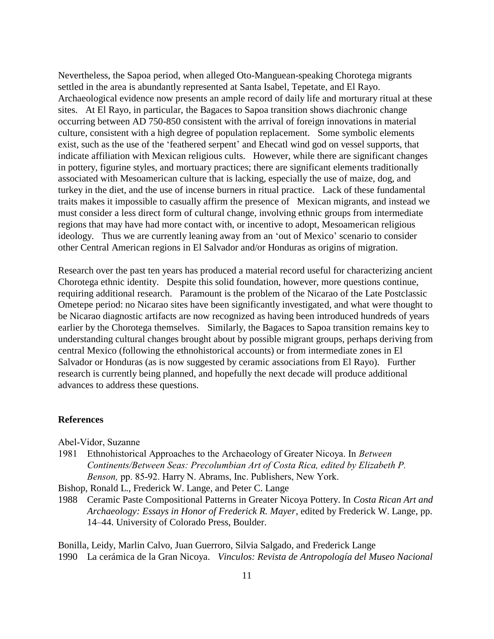Nevertheless, the Sapoa period, when alleged Oto-Manguean-speaking Chorotega migrants settled in the area is abundantly represented at Santa Isabel, Tepetate, and El Rayo. Archaeological evidence now presents an ample record of daily life and morturary ritual at these sites. At El Rayo, in particular, the Bagaces to Sapoa transition shows diachronic change occurring between AD 750-850 consistent with the arrival of foreign innovations in material culture, consistent with a high degree of population replacement. Some symbolic elements exist, such as the use of the 'feathered serpent' and Ehecatl wind god on vessel supports, that indicate affiliation with Mexican religious cults. However, while there are significant changes in pottery, figurine styles, and mortuary practices; there are significant elements traditionally associated with Mesoamerican culture that is lacking, especially the use of maize, dog, and turkey in the diet, and the use of incense burners in ritual practice. Lack of these fundamental traits makes it impossible to casually affirm the presence of Mexican migrants, and instead we must consider a less direct form of cultural change, involving ethnic groups from intermediate regions that may have had more contact with, or incentive to adopt, Mesoamerican religious ideology. Thus we are currently leaning away from an 'out of Mexico' scenario to consider other Central American regions in El Salvador and/or Honduras as origins of migration.

Research over the past ten years has produced a material record useful for characterizing ancient Chorotega ethnic identity. Despite this solid foundation, however, more questions continue, requiring additional research. Paramount is the problem of the Nicarao of the Late Postclassic Ometepe period: no Nicarao sites have been significantly investigated, and what were thought to be Nicarao diagnostic artifacts are now recognized as having been introduced hundreds of years earlier by the Chorotega themselves. Similarly, the Bagaces to Sapoa transition remains key to understanding cultural changes brought about by possible migrant groups, perhaps deriving from central Mexico (following the ethnohistorical accounts) or from intermediate zones in El Salvador or Honduras (as is now suggested by ceramic associations from El Rayo). Further research is currently being planned, and hopefully the next decade will produce additional advances to address these questions.

### **References**

Abel-Vidor, Suzanne

1981 Ethnohistorical Approaches to the Archaeology of Greater Nicoya. In *Between Continents/Between Seas: Precolumbian Art of Costa Rica, edited by Elizabeth P. Benson,* pp. 85-92. Harry N. Abrams, Inc. Publishers, New York.

Bishop, Ronald L., Frederick W. Lange, and Peter C. Lange

1988 Ceramic Paste Compositional Patterns in Greater Nicoya Pottery. In *Costa Rican Art and Archaeology: Essays in Honor of Frederick R. Mayer*, edited by Frederick W. Lange, pp. 14–44. University of Colorado Press, Boulder.

Bonilla, Leidy, Marlin Calvo, Juan Guerroro, Silvia Salgado, and Frederick Lange 1990 La cerámica de la Gran Nicoya. *Vinculos: Revista de Antropología del Museo Nacional*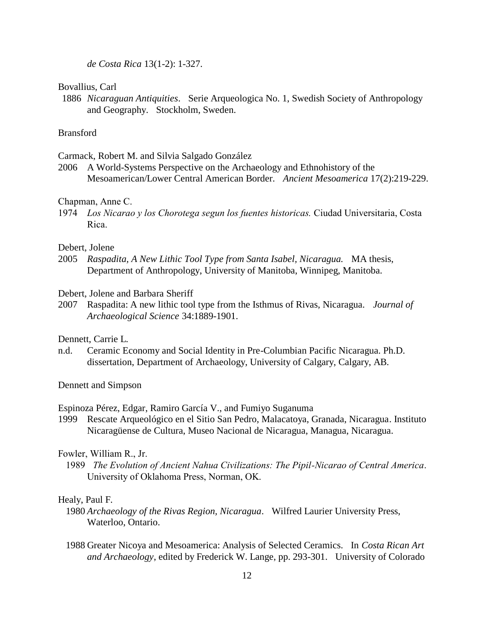*de Costa Rica* 13(1-2): 1-327.

#### Bovallius, Carl

1886 *Nicaraguan Antiquities*. Serie Arqueologica No. 1, Swedish Society of Anthropology and Geography. Stockholm, Sweden.

# Bransford

Carmack, Robert M. and Silvia Salgado González

2006 A World-Systems Perspective on the Archaeology and Ethnohistory of the Mesoamerican/Lower Central American Border. *Ancient Mesoamerica* 17(2):219-229.

## Chapman, Anne C.

1974 *Los Nicarao y los Chorotega segun los fuentes historicas.* Ciudad Universitaria, Costa Rica.

## Debert, Jolene

- 2005 *Raspadita, A New Lithic Tool Type from Santa Isabel, Nicaragua.* MA thesis, Department of Anthropology, University of Manitoba, Winnipeg, Manitoba.
- Debert, Jolene and Barbara Sheriff
- 2007 Raspadita: A new lithic tool type from the Isthmus of Rivas, Nicaragua. *Journal of Archaeological Science* 34:1889-1901.

# Dennett, Carrie L.

n.d. Ceramic Economy and Social Identity in Pre-Columbian Pacific Nicaragua. Ph.D. dissertation, Department of Archaeology, University of Calgary, Calgary, AB.

Dennett and Simpson

## Espinoza Pérez, Edgar, Ramiro García V., and Fumiyo Suganuma

1999 Rescate Arqueológico en el Sitio San Pedro, Malacatoya, Granada, Nicaragua. Instituto Nicaragüense de Cultura, Museo Nacional de Nicaragua, Managua, Nicaragua.

### Fowler, William R., Jr.

 1989 *The Evolution of Ancient Nahua Civilizations: The Pipil-Nicarao of Central America*. University of Oklahoma Press, Norman, OK.

### Healy, Paul F.

- 1980 *Archaeology of the Rivas Region, Nicaragua*. Wilfred Laurier University Press, Waterloo, Ontario.
- 1988 Greater Nicoya and Mesoamerica: Analysis of Selected Ceramics. In *Costa Rican Art and Archaeology*, edited by Frederick W. Lange, pp. 293-301. University of Colorado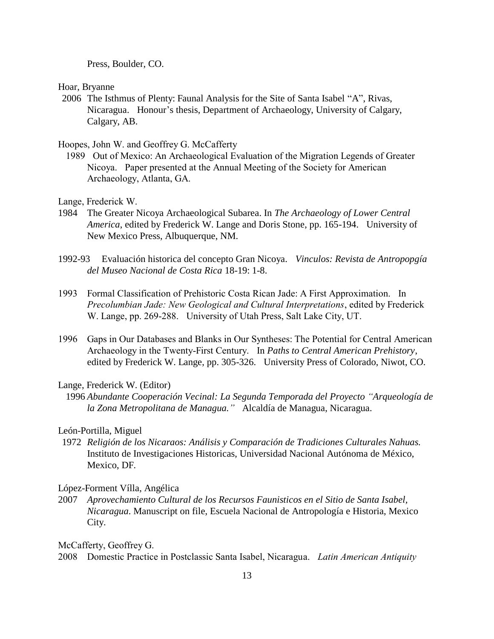Press, Boulder, CO.

Hoar, Bryanne

2006 The Isthmus of Plenty: Faunal Analysis for the Site of Santa Isabel "A", Rivas, Nicaragua. Honour's thesis, Department of Archaeology, University of Calgary, Calgary, AB.

Hoopes, John W. and Geoffrey G. McCafferty

 1989 Out of Mexico: An Archaeological Evaluation of the Migration Legends of Greater Nicoya. Paper presented at the Annual Meeting of the Society for American Archaeology, Atlanta, GA.

Lange, Frederick W.

- 1984 The Greater Nicoya Archaeological Subarea. In *The Archaeology of Lower Central America*, edited by Frederick W. Lange and Doris Stone, pp. 165-194. University of New Mexico Press, Albuquerque, NM.
- 1992-93 Evaluación historica del concepto Gran Nicoya. *Vinculos: Revista de Antropopgía del Museo Nacional de Costa Rica* 18-19: 1-8.
- 1993 Formal Classification of Prehistoric Costa Rican Jade: A First Approximation. In *Precolumbian Jade: New Geological and Cultural Interpretations*, edited by Frederick W. Lange, pp. 269-288. University of Utah Press, Salt Lake City, UT.
- 1996 Gaps in Our Databases and Blanks in Our Syntheses: The Potential for Central American Archaeology in the Twenty-First Century. In *Paths to Central American Prehistory*, edited by Frederick W. Lange, pp. 305-326. University Press of Colorado, Niwot, CO.

## Lange, Frederick W. (Editor)

 1996 *Abundante Cooperación Vecinal: La Segunda Temporada del Proyecto "Arqueología de la Zona Metropolitana de Managua."* Alcaldía de Managua, Nicaragua.

# León-Portilla, Miguel

1972 *Religión de los Nicaraos: Análisis y Comparación de Tradiciones Culturales Nahuas.* Instituto de Investigaciones Historicas, Universidad Nacional Autónoma de México, Mexico, DF.

## López-Forment Vílla, Angélica

2007 *Aprovechamiento Cultural de los Recursos Faunisticos en el Sitio de Santa Isabel, Nicaragua*. Manuscript on file, Escuela Nacional de Antropología e Historia, Mexico City.

McCafferty, Geoffrey G.

2008 Domestic Practice in Postclassic Santa Isabel, Nicaragua. *Latin American Antiquity*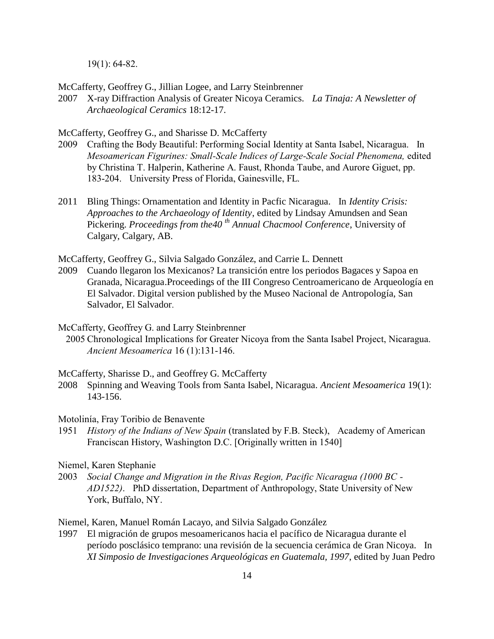19(1): 64-82.

McCafferty, Geoffrey G., Jillian Logee, and Larry Steinbrenner

2007 X-ray Diffraction Analysis of Greater Nicoya Ceramics. *La Tinaja: A Newsletter of Archaeological Ceramics* 18:12-17.

McCafferty, Geoffrey G., and Sharisse D. McCafferty

- 2009 Crafting the Body Beautiful: Performing Social Identity at Santa Isabel, Nicaragua. In *Mesoamerican Figurines: Small-Scale Indices of Large-Scale Social Phenomena,* edited by Christina T. Halperin, Katherine A. Faust, Rhonda Taube, and Aurore Giguet, pp. 183-204. University Press of Florida, Gainesville, FL.
- 2011 Bling Things: Ornamentation and Identity in Pacfic Nicaragua. In *Identity Crisis: Approaches to the Archaeology of Identity*, edited by Lindsay Amundsen and Sean Pickering. *Proceedings from the40 th Annual Chacmool Conference*, University of Calgary, Calgary, AB.

McCafferty, Geoffrey G., Silvia Salgado González, and Carrie L. Dennett

2009 Cuando llegaron los Mexicanos? La transición entre los periodos Bagaces y Sapoa en Granada, Nicaragua.Proceedings of the III Congreso Centroamericano de Arqueología en El Salvador. Digital version published by the Museo Nacional de Antropología, San Salvador, El Salvador.

McCafferty, Geoffrey G. and Larry Steinbrenner

 2005 Chronological Implications for Greater Nicoya from the Santa Isabel Project, Nicaragua. *Ancient Mesoamerica* 16 (1):131-146.

McCafferty, Sharisse D., and Geoffrey G. McCafferty

2008 Spinning and Weaving Tools from Santa Isabel, Nicaragua. *Ancient Mesoamerica* 19(1): 143-156.

Motolinía, Fray Toribio de Benavente

1951 *History of the Indians of New Spain* (translated by F.B. Steck), Academy of American Franciscan History, Washington D.C. [Originally written in 1540]

Niemel, Karen Stephanie

2003 *Social Change and Migration in the Rivas Region, Pacific Nicaragua (1000 BC - AD1522)*. PhD dissertation, Department of Anthropology, State University of New York, Buffalo, NY.

Niemel, Karen, Manuel Román Lacayo, and Silvia Salgado González

1997 El migración de grupos mesoamericanos hacia el pacífico de Nicaragua durante el período posclásico temprano: una revisión de la secuencia cerámica de Gran Nicoya. In *XI Simposio de Investigaciones Arqueológicas en Guatemala, 1997*, edited by Juan Pedro